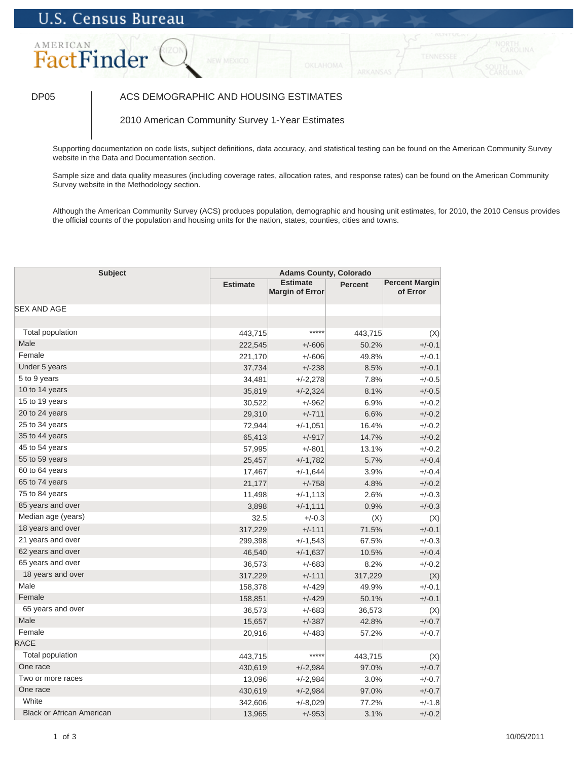# **U.S. Census Bureau**

## AMERICAN FactFinder

### DP05 | ACS DEMOGRAPHIC AND HOUSING ESTIMATES

2010 American Community Survey 1-Year Estimates

Supporting documentation on code lists, subject definitions, data accuracy, and statistical testing can be found on the American Community Survey website in the Data and Documentation section.

Sample size and data quality measures (including coverage rates, allocation rates, and response rates) can be found on the American Community Survey website in the Methodology section.

Although the American Community Survey (ACS) produces population, demographic and housing unit estimates, for 2010, the 2010 Census provides the official counts of the population and housing units for the nation, states, counties, cities and towns.

| <b>Subject</b>                   | <b>Adams County, Colorado</b> |                                           |                |                                   |
|----------------------------------|-------------------------------|-------------------------------------------|----------------|-----------------------------------|
|                                  | <b>Estimate</b>               | <b>Estimate</b><br><b>Margin of Error</b> | <b>Percent</b> | <b>Percent Margin</b><br>of Error |
| <b>SEX AND AGE</b>               |                               |                                           |                |                                   |
|                                  |                               |                                           |                |                                   |
| Total population                 | 443,715                       | *****                                     | 443,715        | (X)                               |
| Male                             | 222,545                       | $+/-606$                                  | 50.2%          | $+/-0.1$                          |
| Female                           | 221,170                       | $+/-606$                                  | 49.8%          | $+/-0.1$                          |
| Under 5 years                    | 37,734                        | $+/-238$                                  | 8.5%           | $+/-0.1$                          |
| 5 to 9 years                     | 34,481                        | $+/-2,278$                                | 7.8%           | $+/-0.5$                          |
| 10 to 14 years                   | 35,819                        | $+/-2,324$                                | 8.1%           | $+/-0.5$                          |
| 15 to 19 years                   | 30,522                        | $+/-962$                                  | 6.9%           | $+/-0.2$                          |
| 20 to 24 years                   | 29,310                        | $+/-711$                                  | 6.6%           | $+/-0.2$                          |
| 25 to 34 years                   | 72,944                        | $+/-1,051$                                | 16.4%          | $+/-0.2$                          |
| 35 to 44 years                   | 65,413                        | $+/-917$                                  | 14.7%          | $+/-0.2$                          |
| 45 to 54 years                   | 57,995                        | $+/-801$                                  | 13.1%          | $+/-0.2$                          |
| 55 to 59 years                   | 25,457                        | $+/-1,782$                                | 5.7%           | $+/-0.4$                          |
| 60 to 64 years                   | 17,467                        | $+/-1,644$                                | 3.9%           | $+/-0.4$                          |
| 65 to 74 years                   | 21,177                        | $+/-758$                                  | 4.8%           | $+/-0.2$                          |
| 75 to 84 years                   | 11,498                        | $+/-1,113$                                | 2.6%           | $+/-0.3$                          |
| 85 years and over                | 3,898                         | $+/-1,111$                                | 0.9%           | $+/-0.3$                          |
| Median age (years)               | 32.5                          | $+/-0.3$                                  | (X)            | (X)                               |
| 18 years and over                | 317,229                       | $+/-111$                                  | 71.5%          | $+/-0.1$                          |
| 21 years and over                | 299,398                       | $+/-1,543$                                | 67.5%          | $+/-0.3$                          |
| 62 years and over                | 46,540                        | $+/-1,637$                                | 10.5%          | $+/-0.4$                          |
| 65 years and over                | 36,573                        | $+/-683$                                  | 8.2%           | $+/-0.2$                          |
| 18 years and over                | 317,229                       | $+/-111$                                  | 317,229        | (X)                               |
| Male                             | 158,378                       | $+/-429$                                  | 49.9%          | $+/-0.1$                          |
| Female                           | 158,851                       | $+/-429$                                  | 50.1%          | $+/-0.1$                          |
| 65 years and over                | 36,573                        | $+/-683$                                  | 36,573         | (X)                               |
| Male                             | 15,657                        | $+/-387$                                  | 42.8%          | $+/-0.7$                          |
| Female                           | 20,916                        | $+/-483$                                  | 57.2%          | $+/-0.7$                          |
| <b>RACE</b>                      |                               |                                           |                |                                   |
| <b>Total population</b>          | 443,715                       | *****                                     | 443,715        | (X)                               |
| One race                         | 430,619                       | $+/-2,984$                                | 97.0%          | $+/-0.7$                          |
| Two or more races                | 13,096                        | $+/-2,984$                                | 3.0%           | $+/-0.7$                          |
| One race                         | 430,619                       | $+/-2,984$                                | 97.0%          | $+/-0.7$                          |
| White                            | 342,606                       | $+/-8,029$                                | 77.2%          | $+/-1.8$                          |
| <b>Black or African American</b> | 13,965                        | $+/-953$                                  | 3.1%           | $+/-0.2$                          |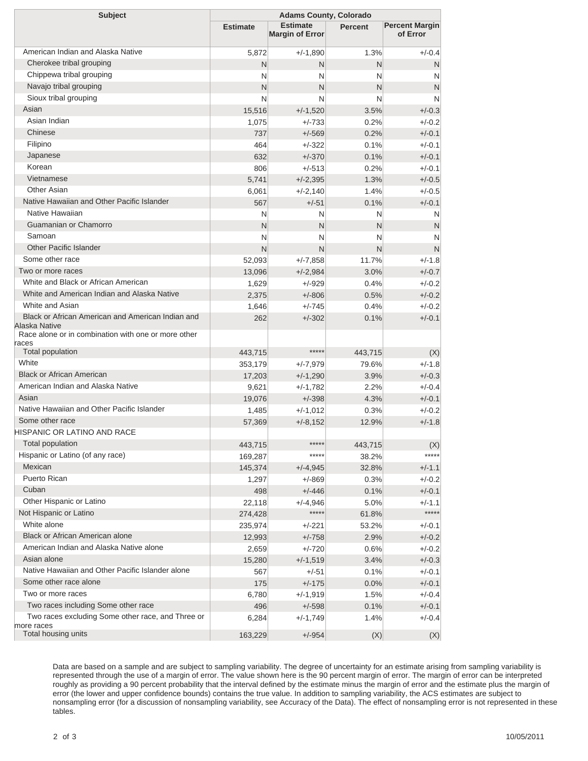| <b>Subject</b>                                                     |                    | <b>Adams County, Colorado</b>             |                |                                   |
|--------------------------------------------------------------------|--------------------|-------------------------------------------|----------------|-----------------------------------|
|                                                                    | <b>Estimate</b>    | <b>Estimate</b><br><b>Margin of Error</b> | <b>Percent</b> | <b>Percent Margin</b><br>of Error |
| American Indian and Alaska Native                                  | 5,872              | $+/-1,890$                                | 1.3%           | $+/-0.4$                          |
| Cherokee tribal grouping                                           | N                  | N                                         | N              | N                                 |
| Chippewa tribal grouping                                           | N                  | N                                         | N              | N                                 |
| Navajo tribal grouping                                             | N                  | N                                         | N              | $\mathsf{N}$                      |
| Sioux tribal grouping                                              | N                  | N                                         | N              | N                                 |
| Asian                                                              | 15,516             | $+/-1,520$                                | 3.5%           | $+/-0.3$                          |
| Asian Indian                                                       | 1,075              | $+/-733$                                  | 0.2%           | $+/-0.2$                          |
| Chinese                                                            | 737                | $+/-569$                                  | 0.2%           | $+/-0.1$                          |
| Filipino                                                           | 464                | $+/-322$                                  | 0.1%           | $+/-0.1$                          |
| Japanese                                                           | 632                | $+/-370$                                  | 0.1%           | $+/-0.1$                          |
| Korean                                                             | 806                | $+/-513$                                  | 0.2%           | $+/-0.1$                          |
| Vietnamese                                                         | 5,741              | $+/-2,395$                                | 1.3%           | $+/-0.5$                          |
| <b>Other Asian</b>                                                 | 6,061              | $+/-2,140$                                | 1.4%           | $+/-0.5$                          |
| Native Hawaiian and Other Pacific Islander                         | 567                | $+/-51$                                   | 0.1%           | $+/-0.1$                          |
| Native Hawaiian                                                    | N                  | N                                         | N              | N                                 |
| Guamanian or Chamorro                                              | N                  | N                                         | N              | N                                 |
| Samoan                                                             | N                  | N                                         | N              | N                                 |
| <b>Other Pacific Islander</b>                                      | N                  | N                                         | N              | N                                 |
| Some other race                                                    | 52,093             | $+/-7,858$                                | 11.7%          | $+/-1.8$                          |
| Two or more races                                                  | 13,096             | $+/-2,984$                                | 3.0%           | $+/-0.7$                          |
| White and Black or African American                                | 1,629              | $+/-929$                                  | 0.4%           | $+/-0.2$                          |
| White and American Indian and Alaska Native                        | 2,375              | $+/-806$                                  | 0.5%           | $+/-0.2$                          |
| White and Asian                                                    | 1,646              | $+/-745$                                  | 0.4%           | $+/-0.2$                          |
| Black or African American and American Indian and<br>Alaska Native | 262                | $+/-302$                                  | 0.1%           | $+/-0.1$                          |
| Race alone or in combination with one or more other                |                    |                                           |                |                                   |
| races                                                              |                    |                                           |                |                                   |
| <b>Total population</b>                                            | 443,715            | *****                                     | 443,715        | (X)                               |
| White                                                              | 353,179            | $+/-7,979$                                | 79.6%          | $+/-1.8$                          |
| <b>Black or African American</b>                                   | 17,203             | $+/-1,290$                                | 3.9%           | $+/-0.3$                          |
| American Indian and Alaska Native                                  | 9,621              | $+/-1,782$                                | 2.2%           | $+/-0.4$                          |
| Asian                                                              | 19,076             | $+/-398$                                  | 4.3%           | $+/-0.1$                          |
| Native Hawaiian and Other Pacific Islander                         | 1,485              | $+/-1,012$                                | 0.3%           | $+/-0.2$                          |
| Some other race<br>HISPANIC OR LATINO AND RACE                     | 57,369             | $+/-8,152$                                | 12.9%          | $+/-1.8$                          |
| <b>Total population</b>                                            |                    | *****                                     |                |                                   |
| Hispanic or Latino (of any race)                                   | 443,715            | *****                                     | 443,715        | (X)<br>*****                      |
| Mexican                                                            | 169,287<br>145,374 | $+/-4,945$                                | 38.2%<br>32.8% | $+/-1.1$                          |
| Puerto Rican                                                       |                    | $+/-869$                                  | 0.3%           | $+/-0.2$                          |
| Cuban                                                              | 1,297<br>498       | $+/-446$                                  | 0.1%           | $+/-0.1$                          |
| Other Hispanic or Latino                                           | 22,118             | $+/-4,946$                                | 5.0%           | $+/-1.1$                          |
| Not Hispanic or Latino                                             | 274,428            | *****                                     | 61.8%          | *****                             |
| White alone                                                        | 235,974            | $+/-221$                                  | 53.2%          | $+/-0.1$                          |
| Black or African American alone                                    | 12,993             | $+/-758$                                  | 2.9%           | $+/-0.2$                          |
| American Indian and Alaska Native alone                            | 2,659              | $+/-720$                                  | 0.6%           | $+/-0.2$                          |
| Asian alone                                                        | 15,280             | $+/-1,519$                                | 3.4%           | $+/-0.3$                          |
| Native Hawaiian and Other Pacific Islander alone                   | 567                | $+/-51$                                   | 0.1%           | $+/-0.1$                          |
| Some other race alone                                              | 175                | $+/-175$                                  | 0.0%           | $+/-0.1$                          |
| Two or more races                                                  | 6,780              | $+/-1,919$                                | 1.5%           | $+/-0.4$                          |
| Two races including Some other race                                | 496                | $+/-598$                                  | 0.1%           | $+/-0.1$                          |
| Two races excluding Some other race, and Three or<br>more races    | 6,284              | $+/-1,749$                                | 1.4%           | $+/-0.4$                          |
| Total housing units                                                | 163,229            | $+/-954$                                  | (X)            | (X)                               |

Data are based on a sample and are subject to sampling variability. The degree of uncertainty for an estimate arising from sampling variability is represented through the use of a margin of error. The value shown here is the 90 percent margin of error. The margin of error can be interpreted roughly as providing a 90 percent probability that the interval defined by the estimate minus the margin of error and the estimate plus the margin of error (the lower and upper confidence bounds) contains the true value. In addition to sampling variability, the ACS estimates are subject to nonsampling error (for a discussion of nonsampling variability, see Accuracy of the Data). The effect of nonsampling error is not represented in these tables.